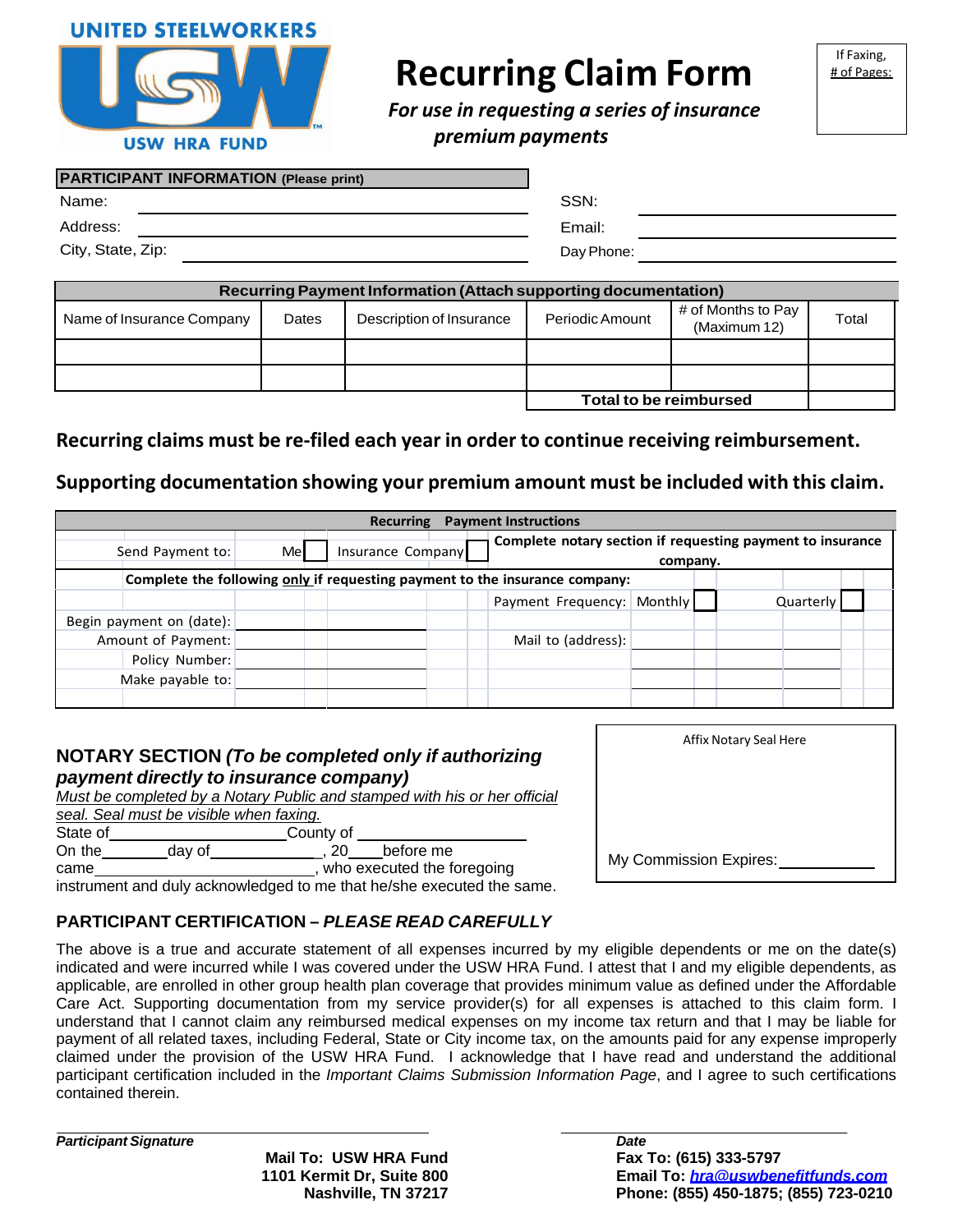



# **Recurring Claim Form**

If Faxing, # of Pages:

*For use in requesting a series of insurance premium payments*

#### **R PARTICIPANT INFORMATION (Please print)**

| $\overline{1}$ ARTION ART IN ORDER HOR (Figust print) |            |
|-------------------------------------------------------|------------|
| Name:                                                 | SSN:       |
| Address:                                              | Email:     |
| City, State, Zip:                                     | Day Phone: |

|                           |       | Recurring Payment Information (Attach supporting documentation) |                               |                                    |       |
|---------------------------|-------|-----------------------------------------------------------------|-------------------------------|------------------------------------|-------|
| Name of Insurance Company | Dates | Description of Insurance                                        | Periodic Amount               | # of Months to Pay<br>(Maximum 12) | Total |
|                           |       |                                                                 |                               |                                    |       |
|                           |       |                                                                 |                               |                                    |       |
|                           |       |                                                                 | <b>Total to be reimbursed</b> |                                    |       |

# **Recurring claims must be re‐filed each year in order to continue receiving reimbursement.**

### **Supporting documentation showing your premium amount must be included with this claim.**

|                          |    | Recurring                                                                   | <b>Payment Instructions</b>                                            |           |
|--------------------------|----|-----------------------------------------------------------------------------|------------------------------------------------------------------------|-----------|
| Send Payment to:         | Me | Insurance Company                                                           | Complete notary section if requesting payment to insurance<br>company. |           |
|                          |    | Complete the following only if requesting payment to the insurance company: |                                                                        |           |
|                          |    |                                                                             | Payment Frequency: Monthly                                             | Quarterly |
| Begin payment on (date): |    |                                                                             |                                                                        |           |
| Amount of Payment:       |    |                                                                             | Mail to (address):                                                     |           |
| Policy Number:           |    |                                                                             |                                                                        |           |
| Make payable to:         |    |                                                                             |                                                                        |           |
|                          |    |                                                                             |                                                                        |           |

### **NOTARY SECTION** *(To be completed only if authorizing payment directly to insurance company)*

|          |                                         |           | Must be completed by a Notary Public and stamped with his or her official                                                                                                                                                      |
|----------|-----------------------------------------|-----------|--------------------------------------------------------------------------------------------------------------------------------------------------------------------------------------------------------------------------------|
|          | seal. Seal must be visible when faxing. |           |                                                                                                                                                                                                                                |
| State of |                                         | County of |                                                                                                                                                                                                                                |
| On the   | day of                                  | 20        | before me                                                                                                                                                                                                                      |
| came     |                                         |           | who executed the foregoing                                                                                                                                                                                                     |
|          |                                         |           | the contract of the start of the contract of the start of the original contract of the start of the start of the start of the start of the start of the start of the start of the start of the start of the start of the start |

instrument and duly acknowledged to me that he/she executed the same.

# **PARTICIPANT CERTIFICATION –** *PLEASE READ CAREFULLY*

The above is a true and accurate statement of all expenses incurred by my eligible dependents or me on the date(s) indicated and were incurred while I was covered under the USW HRA Fund. I attest that I and my eligible dependents, as applicable, are enrolled in other group health plan coverage that provides minimum value as defined under the Affordable Care Act. Supporting documentation from my service provider(s) for all expenses is attached to this claim form. I understand that I cannot claim any reimbursed medical expenses on my income tax return and that I may be liable for payment of all related taxes, including Federal, State or City income tax, on the amounts paid for any expense improperly claimed under the provision of the USW HRA Fund. I acknowledge that I have read and understand the additional participant certification included in the *Important Claims Submission Information Page*, and I agree to such certifications contained therein.

*Participant Signature*

**Mail To: USW HRA Fund 1101 Kermit Dr, Suite 800 Nashville, TN 37217** *Date* **Fax To: (615) 333-5797 Email To:** *hra@uswbenefitfunds.com* **Phone: (855) 450-1875; (855) 723-0210**

| Affix Notary Seal Here |
|------------------------|
|                        |
|                        |
|                        |
| My Commission Expires: |